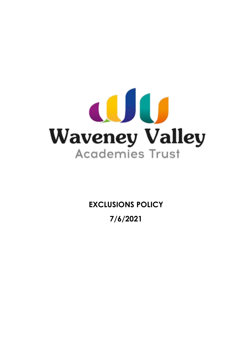

**EXCLUSIONS POLICY**

**7/6/2021**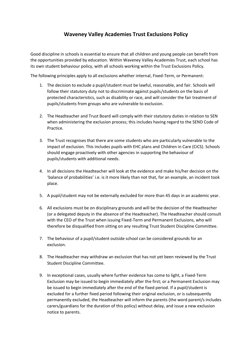# **Waveney Valley Academies Trust Exclusions Policy**

Good discipline in schools is essential to ensure that all children and young people can benefit from the opportunities provided by education. Within Waveney Valley Academies Trust, each school has its own student behaviour policy, with all schools working within the Trust Exclusions Policy.

The following principles apply to all exclusions whether internal, Fixed-Term, or Permanent:

- 1. The decision to exclude a pupil/student must be lawful, reasonable, and fair. Schools will follow their statutory duty not to discriminate against pupils/students on the basis of protected characteristics, such as disability or race, and will consider the fair treatment of pupils/students from groups who are vulnerable to exclusion.
- 2. The Headteacher and Trust Board will comply with their statutory duties in relation to SEN when administering the exclusion process; this includes having regard to the SEND Code of Practice.
- 3. The Trust recognises that there are some students who are particularly vulnerable to the impact of exclusion. This includes pupils with EHC plans and Children in Care (CiCS). Schools should engage proactively with other agencies in supporting the behaviour of pupils/students with additional needs.
- 4. In all decisions the Headteacher will look at the evidence and make his/her decision on the 'balance of probabilities' i.e. is it more likely than not that, for an example, an incident took place.
- 5. A pupil/student may not be externally excluded for more than 45 days in an academic year.
- 6. All exclusions must be on disciplinary grounds and will be the decision of the Headteacher (or a delegated deputy in the absence of the Headteacher). The Headteacher should consult with the CEO of the Trust when issuing Fixed-Term and Permanent Exclusions, who will therefore be disqualified from sitting on any resulting Trust Student Discipline Committee.
- 7. The behaviour of a pupil/student outside school can be considered grounds for an exclusion.
- 8. The Headteacher may withdraw an exclusion that has not yet been reviewed by the Trust Student Discipline Committee.
- 9. In exceptional cases, usually where further evidence has come to light, a Fixed-Term Exclusion may be issued to begin immediately after the first; or a Permanent Exclusion may be issued to begin immediately after the end of the fixed period. If a pupil/student is excluded for a further fixed period following their original exclusion, or is subsequently permanently excluded, the Headteacher will inform the parents (the word parent/s includes carers/guardians for the duration of this policy) without delay, and issue a new exclusion notice to parents.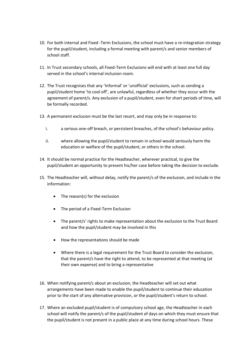- 10. For both internal and Fixed -Term Exclusions, the school must have a re-integration strategy for the pupil/student, including a formal meeting with parent/s and senior members of school staff.
- 11. In Trust secondary schools, all Fixed-Term Exclusions will end with at least one full day served in the school's internal inclusion room.
- 12. The Trust recognises that any 'Informal' or 'unofficial' exclusions, such as sending a pupil/student home 'to cool off', are unlawful, regardless of whether they occur with the agreement of parent/s. Any exclusion of a pupil/student, even for short periods of time, will be formally recorded.
- 13. A permanent exclusion must be the last resort, and may only be in response to:
	- i. a serious one-off breach, or persistent breaches, of the school's behaviour policy.
	- ii. where allowing the pupil/student to remain in school would seriously harm the education or welfare of the pupil/student, or others in the school.
- 14. It should be normal practice for the Headteacher, wherever practical, to give the pupil/student an opportunity to present his/her case before taking the decision to exclude.
- 15. The Headteacher will, without delay, notify the parent/s of the exclusion, and include in the information:
	- The reason(s) for the exclusion
	- The period of a Fixed-Term Exclusion
	- The parent/s' rights to make representation about the exclusion to the Trust Board and how the pupil/student may be involved in this
	- How the representations should be made
	- Where there is a legal requirement for the Trust Board to consider the exclusion, that the parent/s have the right to attend, to be represented at that meeting (at their own expense) and to bring a representative
- 16. When notifying parent/s about an exclusion, the Headteacher will set out what arrangements have been made to enable the pupil/student to continue their education prior to the start of any alternative provision, or the pupil/student's return to school.
- 17. Where an excluded pupil/student is of compulsory school age, the Headteacher in each school will notify the parent/s of the pupil/student of days on which they must ensure that the pupil/student is not present in a public place at any time during school hours. These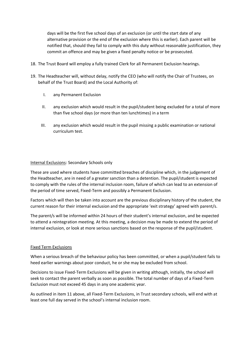days will be the first five school days of an exclusion (or until the start date of any alternative provision or the end of the exclusion where this is earlier). Each parent will be notified that, should they fail to comply with this duty without reasonable justification, they commit an offence and may be given a fixed penalty notice or be prosecuted.

- 18. The Trust Board will employ a fully trained Clerk for all Permanent Exclusion hearings.
- 19. The Headteacher will, without delay, notify the CEO (who will notify the Chair of Trustees, on behalf of the Trust Board) and the Local Authority of:
	- I. any Permanent Exclusion
	- II. any exclusion which would result in the pupil/student being excluded for a total of more than five school days (or more than ten lunchtimes) in a term
	- III. any exclusion which would result in the pupil missing a public examination or national curriculum test.

#### Internal Exclusions: Secondary Schools only

These are used where students have committed breaches of discipline which, in the judgement of the Headteacher, are in need of a greater sanction than a detention. The pupil/student is expected to comply with the rules of the internal inclusion room, failure of which can lead to an extension of the period of time served, Fixed-Term and possibly a Permanent Exclusion.

Factors which will then be taken into account are the previous disciplinary history of the student, the current reason for their internal exclusion and the appropriate 'exit strategy' agreed with parent/s.

The parent/s will be informed within 24 hours of their student's internal exclusion, and be expected to attend a reintegration meeting. At this meeting, a decision may be made to extend the period of internal exclusion, or look at more serious sanctions based on the response of the pupil/student.

#### Fixed Term Exclusions

When a serious breach of the behaviour policy has been committed, or when a pupil/student fails to heed earlier warnings about poor conduct, he or she may be excluded from school.

Decisions to issue Fixed-Term Exclusions will be given in writing although, initially, the school will seek to contact the parent verbally as soon as possible. The total number of days of a Fixed-Term Exclusion must not exceed 45 days in any one academic year.

As outlined in item 11 above, all Fixed-Term Exclusions, in Trust secondary schools, will end with at least one full day served in the school's internal inclusion room.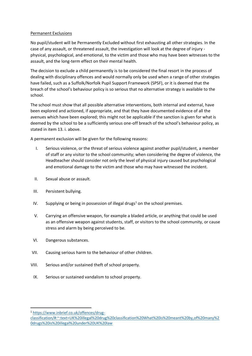## Permanent Exclusions

No pupil/student will be Permanently Excluded without first exhausting all other strategies. In the case of any assault, or threatened assault, the investigation will look at the degree of injury physical, psychological, and emotional, to the victim and those who may have been witnesses to the assault, and the long-term effect on their mental health.

The decision to exclude a child permanently is to be considered the final resort in the process of dealing with disciplinary offences and would normally only be used when a range of other strategies have failed, such as a Suffolk/Norfolk Pupil Support Framework (SPSF), or it is deemed that the breach of the school's behaviour policy is so serious that no alternative strategy is available to the school.

The school must show that all possible alternative interventions, both internal and external, have been explored and actioned, if appropriate, and that they have documented evidence of all the avenues which have been explored; this might not be applicable if the sanction is given for what is deemed by the school to be a sufficiently serious one-off breach of the school's behaviour policy, as stated in item 13. i. above.

A permanent exclusion will be given for the following reasons:

- I. Serious violence, or the threat of serious violence against another pupil/student, a member of staff or any visitor to the school community; when considering the degree of violence, the Headteacher should consider not only the level of physical injury caused but psychological and emotional damage to the victim and those who may have witnessed the incident.
- II. Sexual abuse or assault.
- III. Persistent bullying.
- IV. Supplying or being in possession of illegal drugs<sup>1</sup> on the school premises.
- V. Carrying an offensive weapon, for example a bladed article, or anything that could be used as an offensive weapon against students, staff, or visitors to the school community, or cause stress and alarm by being perceived to be.
- VI. Dangerous substances.
- VII. Causing serious harm to the behaviour of other children.
- VIII. Serious and/or sustained theft of school property.
- IX. Serious or sustained vandalism to school property.

<sup>1</sup> [https://www.inbrief.co.uk/offences/drug-](https://www.inbrief.co.uk/offences/drug-classification/%23:~:text=UK%20illegal%20drug%20classification%20What%20is%20meant%20by,of%20many%20drugs%20is%20illegal%20under%20UK%20law)

[classification/#:~:text=UK%20illegal%20drug%20classification%20What%20is%20meant%20by,of%20many%2](https://www.inbrief.co.uk/offences/drug-classification/%23:~:text=UK%20illegal%20drug%20classification%20What%20is%20meant%20by,of%20many%20drugs%20is%20illegal%20under%20UK%20law) [0drugs%20is%20illegal%20under%20UK%20law](https://www.inbrief.co.uk/offences/drug-classification/%23:~:text=UK%20illegal%20drug%20classification%20What%20is%20meant%20by,of%20many%20drugs%20is%20illegal%20under%20UK%20law)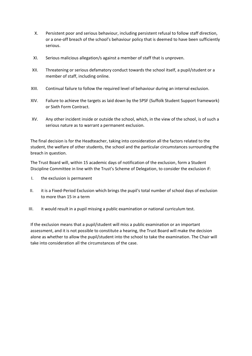- X. Persistent poor and serious behaviour, including persistent refusal to follow staff direction, or a one-off breach of the school's behaviour policy that is deemed to have been sufficiently serious.
- XI. Serious malicious allegation/s against a member of staff that is unproven.
- XII. Threatening or serious defamatory conduct towards the school itself, a pupil/student or a member of staff, including online.
- XIII. Continual failure to follow the required level of behaviour during an internal exclusion.
- XIV. Failure to achieve the targets as laid down by the SPSF (Suffolk Student Support framework) or Sixth Form Contract.
- XV. Any other incident inside or outside the school, which, in the view of the school, is of such a serious nature as to warrant a permanent exclusion.

The final decision is for the Headteacher, taking into consideration all the factors related to the student, the welfare of other students, the school and the particular circumstances surrounding the breach in question.

The Trust Board will, within 15 academic days of notification of the exclusion, form a Student Discipline Committee in line with the Trust's Scheme of Delegation, to consider the exclusion if:

- I. the exclusion is permanent
- II. it is a Fixed-Period Exclusion which brings the pupil's total number of school days of exclusion to more than 15 in a term
- III. it would result in a pupil missing a public examination or national curriculum test.

If the exclusion means that a pupil/student will miss a public examination or an important assessment, and it is not possible to constitute a hearing, the Trust Board will make the decision alone as whether to allow the pupil/student into the school to take the examination. The Chair will take into consideration all the circumstances of the case.